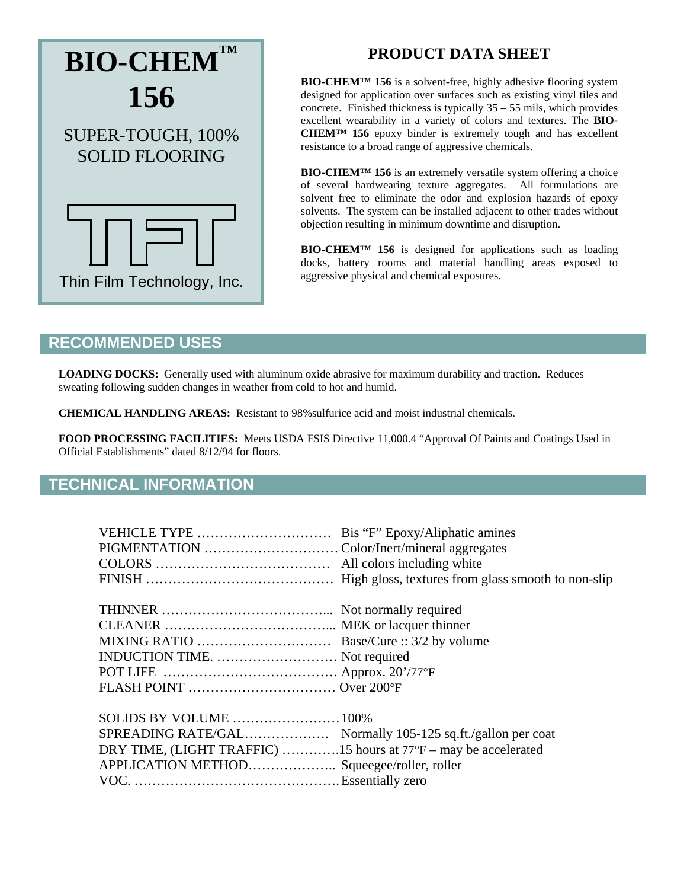

# **PRODUCT DATA SHEET**

**BIO-CHEM™ 156** is a solvent-free, highly adhesive flooring system designed for application over surfaces such as existing vinyl tiles and concrete. Finished thickness is typically 35 – 55 mils, which provides excellent wearability in a variety of colors and textures. The **BIO-CHEM™ 156** epoxy binder is extremely tough and has excellent resistance to a broad range of aggressive chemicals.

**BIO-CHEM™ 156** is an extremely versatile system offering a choice of several hardwearing texture aggregates. All formulations are solvent free to eliminate the odor and explosion hazards of epoxy solvents. The system can be installed adjacent to other trades without objection resulting in minimum downtime and disruption.

**BIO-CHEM™ 156** is designed for applications such as loading docks, battery rooms and material handling areas exposed to aggressive physical and chemical exposures.

### **RECOMMENDED USES**

**LOADING DOCKS:** Generally used with aluminum oxide abrasive for maximum durability and traction. Reduces sweating following sudden changes in weather from cold to hot and humid.

**CHEMICAL HANDLING AREAS:** Resistant to 98%sulfurice acid and moist industrial chemicals.

**FOOD PROCESSING FACILITIES:** Meets USDA FSIS Directive 11,000.4 "Approval Of Paints and Coatings Used in Official Establishments" dated 8/12/94 for floors.

### **TECHNICAL INFORMATION**

| INDUCTION TIME.  Not required                                   |  |
|-----------------------------------------------------------------|--|
|                                                                 |  |
|                                                                 |  |
|                                                                 |  |
|                                                                 |  |
| DRY TIME, (LIGHT TRAFFIC) 15 hours at 77°F – may be accelerated |  |
| APPLICATION METHOD Squeegee/roller, roller                      |  |
|                                                                 |  |